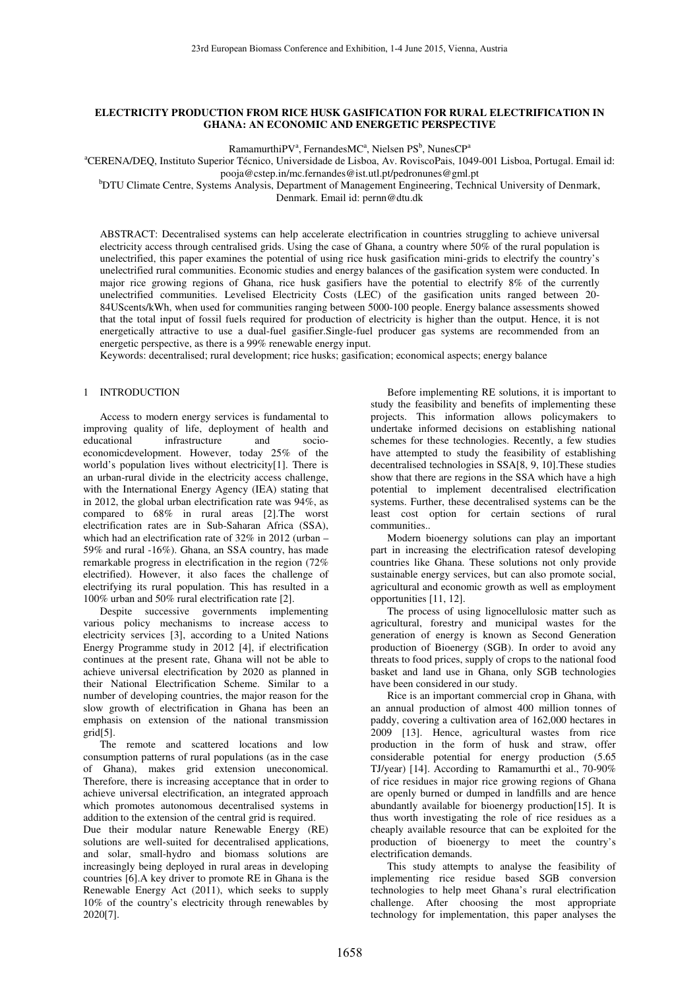# **ELECTRICITY PRODUCTION FROM RICE HUSK GASIFICATION FOR RURAL ELECTRIFICATION IN GHANA: AN ECONOMIC AND ENERGETIC PERSPECTIVE**

 $R$ amamurthiPV<sup>a</sup>, FernandesMC<sup>a</sup>, Nielsen PS<sup>b</sup>, NunesCP<sup>a</sup>

<sup>a</sup>CERENA/DEQ, Instituto Superior Técnico, Universidade de Lisboa, Av. RoviscoPais, 1049-001 Lisboa, Portugal. Email id:

pooja@cstep.in/mc.fernandes@ist.utl.pt/pedronunes@gml.pt bDTU Climate Centre, Systems Analysis, Department of Management Engineering, Technical University of Denmark,

Denmark. Email id: pernn@dtu.dk

ABSTRACT: Decentralised systems can help accelerate electrification in countries struggling to achieve universal electricity access through centralised grids. Using the case of Ghana, a country where 50% of the rural population is unelectrified, this paper examines the potential of using rice husk gasification mini-grids to electrify the country's unelectrified rural communities. Economic studies and energy balances of the gasification system were conducted. In major rice growing regions of Ghana, rice husk gasifiers have the potential to electrify 8% of the currently unelectrified communities. Levelised Electricity Costs (LEC) of the gasification units ranged between 20- 84UScents/kWh, when used for communities ranging between 5000-100 people. Energy balance assessments showed that the total input of fossil fuels required for production of electricity is higher than the output. Hence, it is not energetically attractive to use a dual-fuel gasifier.Single-fuel producer gas systems are recommended from an energetic perspective, as there is a 99% renewable energy input.

Keywords: decentralised; rural development; rice husks; gasification; economical aspects; energy balance

# 1 INTRODUCTION

 Access to modern energy services is fundamental to improving quality of life, deployment of health and educational infrastructure and socioeconomicdevelopment. However, today 25% of the world's population lives without electricity[1]. There is an urban-rural divide in the electricity access challenge, with the International Energy Agency (IEA) stating that in 2012, the global urban electrification rate was 94%, as compared to 68% in rural areas [2].The worst electrification rates are in Sub-Saharan Africa (SSA), which had an electrification rate of 32% in 2012 (urban – 59% and rural -16%). Ghana, an SSA country, has made remarkable progress in electrification in the region (72% electrified). However, it also faces the challenge of electrifying its rural population. This has resulted in a 100% urban and 50% rural electrification rate [2].

 Despite successive governments implementing various policy mechanisms to increase access to electricity services [3], according to a United Nations Energy Programme study in 2012 [4], if electrification continues at the present rate, Ghana will not be able to achieve universal electrification by 2020 as planned in their National Electrification Scheme. Similar to a number of developing countries, the major reason for the slow growth of electrification in Ghana has been an emphasis on extension of the national transmission grid[5].

 The remote and scattered locations and low consumption patterns of rural populations (as in the case of Ghana), makes grid extension uneconomical. Therefore, there is increasing acceptance that in order to achieve universal electrification, an integrated approach which promotes autonomous decentralised systems in addition to the extension of the central grid is required.

Due their modular nature Renewable Energy (RE) solutions are well-suited for decentralised applications, and solar, small-hydro and biomass solutions are increasingly being deployed in rural areas in developing countries [6].A key driver to promote RE in Ghana is the Renewable Energy Act (2011), which seeks to supply 10% of the country's electricity through renewables by 2020[7].

 Before implementing RE solutions, it is important to study the feasibility and benefits of implementing these projects. This information allows policymakers to undertake informed decisions on establishing national schemes for these technologies. Recently, a few studies have attempted to study the feasibility of establishing decentralised technologies in SSA[8, 9, 10].These studies show that there are regions in the SSA which have a high potential to implement decentralised electrification systems. Further, these decentralised systems can be the least cost option for certain sections of rural communities..

 Modern bioenergy solutions can play an important part in increasing the electrification ratesof developing countries like Ghana. These solutions not only provide sustainable energy services, but can also promote social, agricultural and economic growth as well as employment opportunities [11, 12].

 The process of using lignocellulosic matter such as agricultural, forestry and municipal wastes for the generation of energy is known as Second Generation production of Bioenergy (SGB). In order to avoid any threats to food prices, supply of crops to the national food basket and land use in Ghana, only SGB technologies have been considered in our study.

 Rice is an important commercial crop in Ghana, with an annual production of almost 400 million tonnes of paddy, covering a cultivation area of 162,000 hectares in 2009 [13]. Hence, agricultural wastes from rice production in the form of husk and straw, offer considerable potential for energy production (5.65 TJ/year) [14]. According to Ramamurthi et al., 70-90% of rice residues in major rice growing regions of Ghana are openly burned or dumped in landfills and are hence abundantly available for bioenergy production[15]. It is thus worth investigating the role of rice residues as a cheaply available resource that can be exploited for the production of bioenergy to meet the country's electrification demands.

 This study attempts to analyse the feasibility of implementing rice residue based SGB conversion technologies to help meet Ghana's rural electrification challenge. After choosing the most appropriate technology for implementation, this paper analyses the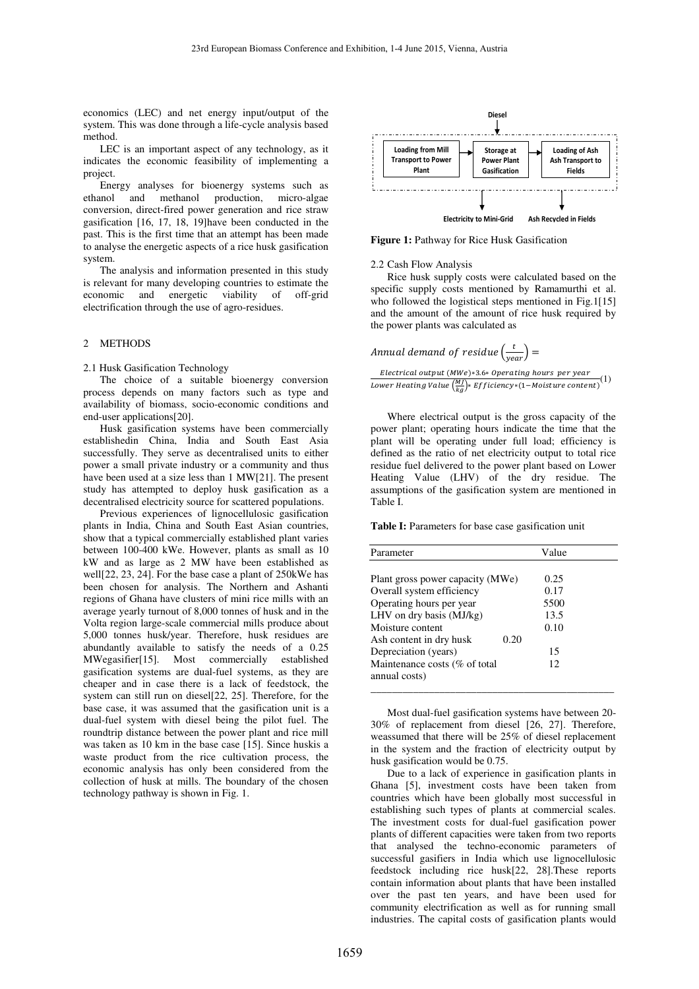economics (LEC) and net energy input/output of the system. This was done through a life-cycle analysis based method.

 LEC is an important aspect of any technology, as it indicates the economic feasibility of implementing a project.

 Energy analyses for bioenergy systems such as ethanol and methanol production, micro-algae conversion, direct-fired power generation and rice straw gasification [16, 17, 18, 19]have been conducted in the past. This is the first time that an attempt has been made to analyse the energetic aspects of a rice husk gasification system.

 The analysis and information presented in this study is relevant for many developing countries to estimate the economic and energetic viability of off-grid electrification through the use of agro-residues.

## 2 METHODS

2.1 Husk Gasification Technology

 The choice of a suitable bioenergy conversion process depends on many factors such as type and availability of biomass, socio-economic conditions and end-user applications[20].

 Husk gasification systems have been commercially establishedin China, India and South East Asia successfully. They serve as decentralised units to either power a small private industry or a community and thus have been used at a size less than 1 MW[21]. The present study has attempted to deploy husk gasification as a decentralised electricity source for scattered populations.

 Previous experiences of lignocellulosic gasification plants in India, China and South East Asian countries, show that a typical commercially established plant varies between 100-400 kWe. However, plants as small as 10 kW and as large as 2 MW have been established as well[22, 23, 24]. For the base case a plant of 250kWe has been chosen for analysis. The Northern and Ashanti regions of Ghana have clusters of mini rice mills with an average yearly turnout of 8,000 tonnes of husk and in the Volta region large-scale commercial mills produce about 5,000 tonnes husk/year. Therefore, husk residues are abundantly available to satisfy the needs of a 0.25 MWegasifier[15]. Most commercially established gasification systems are dual-fuel systems, as they are cheaper and in case there is a lack of feedstock, the system can still run on diesel[22, 25]. Therefore, for the base case, it was assumed that the gasification unit is a dual-fuel system with diesel being the pilot fuel. The roundtrip distance between the power plant and rice mill was taken as 10 km in the base case [15]. Since huskis a waste product from the rice cultivation process, the economic analysis has only been considered from the collection of husk at mills. The boundary of the chosen technology pathway is shown in Fig. 1.



**Figure 1:** Pathway for Rice Husk Gasification

#### 2.2 Cash Flow Analysis

 Rice husk supply costs were calculated based on the specific supply costs mentioned by Ramamurthi et al. who followed the logistical steps mentioned in Fig.1[15] and the amount of the amount of rice husk required by the power plants was calculated as

Annual demand of residue  $\left(\frac{t}{year}\right) =$ 

 $\label{thm:relaxation} Electrical~output~(MWe)*3.6* Operating~hours~per~year$ Lower Heating Value  $\frac{(M)}{kg}$  Efficiency \* (1-Moisture content)<sup>(1)</sup>

 Where electrical output is the gross capacity of the power plant; operating hours indicate the time that the plant will be operating under full load; efficiency is defined as the ratio of net electricity output to total rice residue fuel delivered to the power plant based on Lower Heating Value (LHV) of the dry residue. The assumptions of the gasification system are mentioned in Table I.

#### Table I: Parameters for base case gasification unit

| Parameter                        | Value |
|----------------------------------|-------|
|                                  |       |
| Plant gross power capacity (MWe) | 0.25  |
| Overall system efficiency        | 0.17  |
| Operating hours per year         | 5500  |
| LHV on dry basis $(MJ/kg)$       | 13.5  |
| Moisture content                 | 0.10  |
| Ash content in dry husk<br>0.20  |       |
| Depreciation (years)             | 15    |
| Maintenance costs (% of total    | 12    |
| annual costs)                    |       |
|                                  |       |

 Most dual-fuel gasification systems have between 20- 30% of replacement from diesel [26, 27]. Therefore, weassumed that there will be 25% of diesel replacement in the system and the fraction of electricity output by husk gasification would be 0.75.

 Due to a lack of experience in gasification plants in Ghana [5], investment costs have been taken from countries which have been globally most successful in establishing such types of plants at commercial scales. The investment costs for dual-fuel gasification power plants of different capacities were taken from two reports that analysed the techno-economic parameters of successful gasifiers in India which use lignocellulosic feedstock including rice husk[22, 28].These reports contain information about plants that have been installed over the past ten years, and have been used for community electrification as well as for running small industries. The capital costs of gasification plants would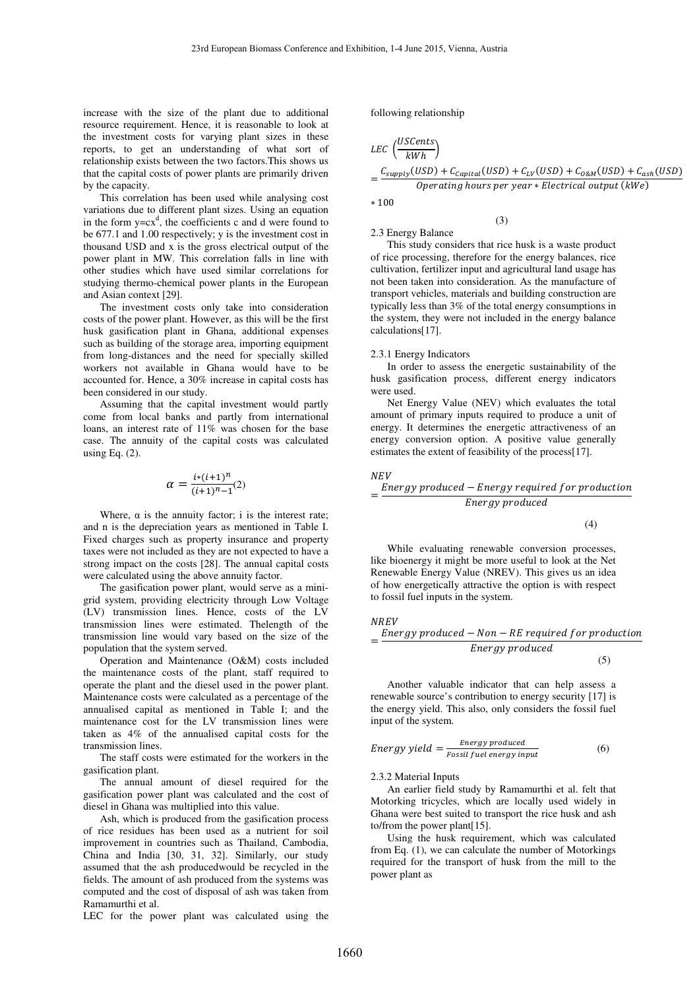increase with the size of the plant due to additional resource requirement. Hence, it is reasonable to look at the investment costs for varying plant sizes in these reports, to get an understanding of what sort of relationship exists between the two factors.This shows us that the capital costs of power plants are primarily driven by the capacity.

 This correlation has been used while analysing cost variations due to different plant sizes. Using an equation in the form  $y=cx^d$ , the coefficients c and d were found to be 677.1 and 1.00 respectively; y is the investment cost in thousand USD and x is the gross electrical output of the power plant in MW. This correlation falls in line with other studies which have used similar correlations for studying thermo-chemical power plants in the European and Asian context [29].

 The investment costs only take into consideration costs of the power plant. However, as this will be the first husk gasification plant in Ghana, additional expenses such as building of the storage area, importing equipment from long-distances and the need for specially skilled workers not available in Ghana would have to be accounted for. Hence, a 30% increase in capital costs has been considered in our study.

 Assuming that the capital investment would partly come from local banks and partly from international loans, an interest rate of 11% was chosen for the base case. The annuity of the capital costs was calculated using Eq. (2).

$$
\alpha = \frac{i*(i+1)^n}{(i+1)^n - 1}(2)
$$

Where,  $\alpha$  is the annuity factor; i is the interest rate; and n is the depreciation years as mentioned in Table I. Fixed charges such as property insurance and property taxes were not included as they are not expected to have a strong impact on the costs [28]. The annual capital costs were calculated using the above annuity factor.

 The gasification power plant, would serve as a minigrid system, providing electricity through Low Voltage (LV) transmission lines. Hence, costs of the LV transmission lines were estimated. Thelength of the transmission line would vary based on the size of the population that the system served.

 Operation and Maintenance (O&M) costs included the maintenance costs of the plant, staff required to operate the plant and the diesel used in the power plant. Maintenance costs were calculated as a percentage of the annualised capital as mentioned in Table I; and the maintenance cost for the LV transmission lines were taken as 4% of the annualised capital costs for the transmission lines.

 The staff costs were estimated for the workers in the gasification plant.

 The annual amount of diesel required for the gasification power plant was calculated and the cost of diesel in Ghana was multiplied into this value.

 Ash, which is produced from the gasification process of rice residues has been used as a nutrient for soil improvement in countries such as Thailand, Cambodia, China and India [30, 31, 32]. Similarly, our study assumed that the ash producedwould be recycled in the fields. The amount of ash produced from the systems was computed and the cost of disposal of ash was taken from Ramamurthi et al.

LEC for the power plant was calculated using the

following relationship

$$
LEC \left(\frac{USCents}{kWh}\right)
$$
  
= 
$$
\frac{C_{supply}(USD) + C_{capital}(USD) + C_{LV}(USD) + C_{0&M}(USD) + C_{ash}(USD)}{Operating hours per year * Electrical output (kWe)}
$$

(3)

2.3 Energy Balance

 $* 100$ 

 This study considers that rice husk is a waste product of rice processing, therefore for the energy balances, rice cultivation, fertilizer input and agricultural land usage has not been taken into consideration. As the manufacture of transport vehicles, materials and building construction are typically less than 3% of the total energy consumptions in the system, they were not included in the energy balance calculations[17].

### 2.3.1 Energy Indicators

 In order to assess the energetic sustainability of the husk gasification process, different energy indicators were used.

 Net Energy Value (NEV) which evaluates the total amount of primary inputs required to produce a unit of energy. It determines the energetic attractiveness of an energy conversion option. A positive value generally estimates the extent of feasibility of the process[17].

$$
_{NEV}
$$

$$
= \frac{Energy\ produced - Energy\ required\ for\ production}{}
$$

Energy produced

(4)

 While evaluating renewable conversion processes, like bioenergy it might be more useful to look at the Net Renewable Energy Value (NREV). This gives us an idea of how energetically attractive the option is with respect to fossil fuel inputs in the system.

### NREV

$$
=\frac{Energy\ produced - Non - RE\ required\ for\ production}{Energy\ produced}
$$

 $(5)$ 

 Another valuable indicator that can help assess a renewable source's contribution to energy security [17] is the energy yield. This also, only considers the fossil fuel input of the system.

Energy yield = 
$$
\frac{Energy produced}{Fossil fuel energy input}
$$
 (6)

### 2.3.2 Material Inputs

 An earlier field study by Ramamurthi et al. felt that Motorking tricycles, which are locally used widely in Ghana were best suited to transport the rice husk and ash to/from the power plant[15].

 Using the husk requirement, which was calculated from Eq. (1), we can calculate the number of Motorkings required for the transport of husk from the mill to the power plant as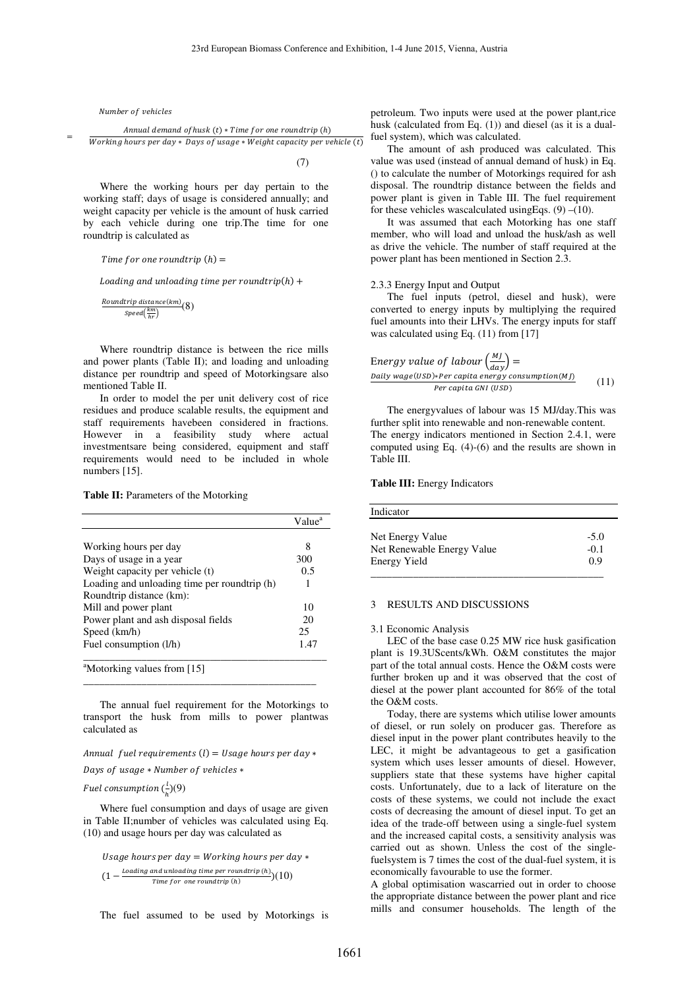Number of vehicles

 $\equiv$ 

 -- - B
@ ?! " X - -?I B! A @-J B 
 I K " DK

J " AJB? LIL?K I WBL ?!

(7)

 Where the working hours per day pertain to the working staff; days of usage is considered annually; and weight capacity per vehicle is the amount of husk carried by each vehicle during one trip.The time for one roundtrip is calculated as

Time  $f$ or one roundtrip  $(h)=\frac{1}{h}$ 

Loading and unloading time per roundtrip(h)  $\bm+$ 

$$
\frac{Roundtrip\ distance(km)}{Speed(\frac{km}{hr})}(8)
$$

 Where roundtrip distance is between the rice mills and power plants (Table II); and loading and unloading distance per roundtrip and speed of Motorkingsare also mentioned Table II.

 In order to model the per unit delivery cost of rice residues and produce scalable results, the equipment and staff requirements havebeen considered in fractions. However in a feasibility study where actual investmentsare being considered, equipment and staff requirements would need to be included in whole numbers [15].

## **Table II:** Parameters of the Motorking

|                                              | Value <sup>a</sup> |
|----------------------------------------------|--------------------|
|                                              |                    |
| Working hours per day                        | 8                  |
| Days of usage in a year                      | 300                |
| Weight capacity per vehicle (t)              | 0.5                |
| Loading and unloading time per roundtrip (h) | 1                  |
| Roundtrip distance (km):                     |                    |
| Mill and power plant                         | 10                 |
| Power plant and ash disposal fields          | 20                 |
| Speed (km/h)                                 | 25                 |
| Fuel consumption (l/h)                       | 1.47               |
| <sup>a</sup> Motorking values from [15]      |                    |

 The annual fuel requirement for the Motorkings to transport the husk from mills to power plantwas calculated as

\_\_\_\_\_\_\_\_\_\_\_\_\_\_\_\_\_\_\_\_\_\_\_\_\_\_\_\_\_\_\_\_\_\_\_\_\_\_\_\_\_\_\_\_

Annual fuel requirements (l) = Usage hours per day  $\ast$ 

Days of usage  $\ast$  Number of vehicles  $\ast$ 

Fuel consumption  $(\frac{l}{h})(9)$ 

 Where fuel consumption and days of usage are given in Table II;number of vehicles was calculated using Eq. (10) and usage hours per day was calculated as

Usage hours per day  $=$  Working hours per day  $\ast$  $(1 - \frac{loading \text{ and unloading time per roundtrip (h)}}{Time \text{ for one roundtrip (h)}})(10)$  $Time for one round trip (h)$ 

The fuel assumed to be used by Motorkings is

petroleum. Two inputs were used at the power plant,rice husk (calculated from Eq. (1)) and diesel (as it is a dualfuel system), which was calculated.

 The amount of ash produced was calculated. This value was used (instead of annual demand of husk) in Eq. () to calculate the number of Motorkings required for ash disposal. The roundtrip distance between the fields and power plant is given in Table III. The fuel requirement for these vehicles wascalculated using Eqs.  $(9)$  – $(10)$ .

 It was assumed that each Motorking has one staff member, who will load and unload the husk/ash as well as drive the vehicle. The number of staff required at the power plant has been mentioned in Section 2.3.

### 2.3.3 Energy Input and Output

 The fuel inputs (petrol, diesel and husk), were converted to energy inputs by multiplying the required fuel amounts into their LHVs. The energy inputs for staff was calculated using Eq. (11) from [17]

Energy value of labour 
$$
\left(\frac{MJ}{day}\right) =
$$
  
\nDaily wage(USD)\*Per capita energy consumption(M)  
\nPer capita GNU (USD) (11)

 The energyvalues of labour was 15 MJ/day.This was further split into renewable and non-renewable content. The energy indicators mentioned in Section 2.4.1, were computed using Eq. (4)-(6) and the results are shown in Table III.

### **Table III:** Energy Indicators

| Indicator                                                      |                         |
|----------------------------------------------------------------|-------------------------|
| Net Energy Value<br>Net Renewable Energy Value<br>Energy Yield | $-5.0$<br>$-0.1$<br>0.9 |
|                                                                |                         |

## 3 RESULTS AND DISCUSSIONS

### 3.1 Economic Analysis

 LEC of the base case 0.25 MW rice husk gasification plant is 19.3UScents/kWh. O&M constitutes the major part of the total annual costs. Hence the O&M costs were further broken up and it was observed that the cost of diesel at the power plant accounted for 86% of the total the O&M costs.

 Today, there are systems which utilise lower amounts of diesel, or run solely on producer gas. Therefore as diesel input in the power plant contributes heavily to the LEC, it might be advantageous to get a gasification system which uses lesser amounts of diesel. However, suppliers state that these systems have higher capital costs. Unfortunately, due to a lack of literature on the costs of these systems, we could not include the exact costs of decreasing the amount of diesel input. To get an idea of the trade-off between using a single-fuel system and the increased capital costs, a sensitivity analysis was carried out as shown. Unless the cost of the singlefuelsystem is 7 times the cost of the dual-fuel system, it is economically favourable to use the former.

A global optimisation wascarried out in order to choose the appropriate distance between the power plant and rice mills and consumer households. The length of the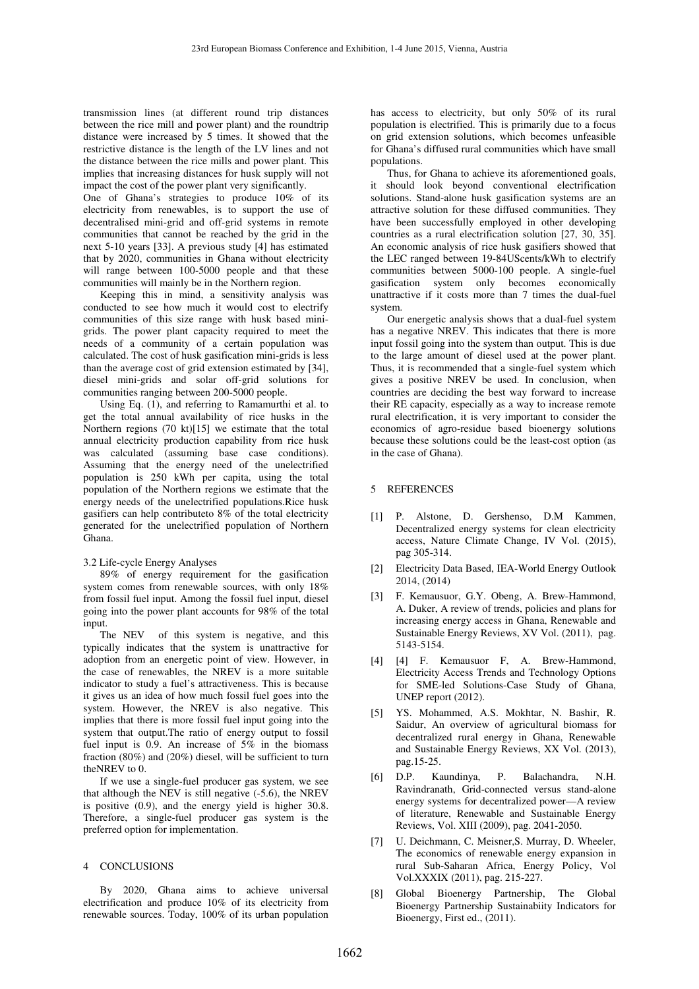transmission lines (at different round trip distances between the rice mill and power plant) and the roundtrip distance were increased by 5 times. It showed that the restrictive distance is the length of the LV lines and not the distance between the rice mills and power plant. This implies that increasing distances for husk supply will not impact the cost of the power plant very significantly.

One of Ghana's strategies to produce 10% of its electricity from renewables, is to support the use of decentralised mini-grid and off-grid systems in remote communities that cannot be reached by the grid in the next 5-10 years [33]. A previous study [4] has estimated that by 2020, communities in Ghana without electricity will range between 100-5000 people and that these communities will mainly be in the Northern region.

 Keeping this in mind, a sensitivity analysis was conducted to see how much it would cost to electrify communities of this size range with husk based minigrids. The power plant capacity required to meet the needs of a community of a certain population was calculated. The cost of husk gasification mini-grids is less than the average cost of grid extension estimated by [34], diesel mini-grids and solar off-grid solutions for communities ranging between 200-5000 people.

 Using Eq. (1), and referring to Ramamurthi et al. to get the total annual availability of rice husks in the Northern regions (70 kt)[15] we estimate that the total annual electricity production capability from rice husk was calculated (assuming base case conditions). Assuming that the energy need of the unelectrified population is 250 kWh per capita, using the total population of the Northern regions we estimate that the energy needs of the unelectrified populations.Rice husk gasifiers can help contributeto 8% of the total electricity generated for the unelectrified population of Northern Ghana.

## 3.2 Life-cycle Energy Analyses

 89% of energy requirement for the gasification system comes from renewable sources, with only 18% from fossil fuel input. Among the fossil fuel input, diesel going into the power plant accounts for 98% of the total input.

The NEV of this system is negative, and this typically indicates that the system is unattractive for adoption from an energetic point of view. However, in the case of renewables, the NREV is a more suitable indicator to study a fuel's attractiveness. This is because it gives us an idea of how much fossil fuel goes into the system. However, the NREV is also negative. This implies that there is more fossil fuel input going into the system that output.The ratio of energy output to fossil fuel input is 0.9. An increase of 5% in the biomass fraction (80%) and (20%) diesel, will be sufficient to turn theNREV to 0.

 If we use a single-fuel producer gas system, we see that although the NEV is still negative (-5.6), the NREV is positive (0.9), and the energy yield is higher 30.8. Therefore, a single-fuel producer gas system is the preferred option for implementation.

## 4 CONCLUSIONS

 By 2020, Ghana aims to achieve universal electrification and produce 10% of its electricity from renewable sources. Today, 100% of its urban population has access to electricity, but only 50% of its rural population is electrified. This is primarily due to a focus on grid extension solutions, which becomes unfeasible for Ghana's diffused rural communities which have small populations.

 Thus, for Ghana to achieve its aforementioned goals, it should look beyond conventional electrification solutions. Stand-alone husk gasification systems are an attractive solution for these diffused communities. They have been successfully employed in other developing countries as a rural electrification solution [27, 30, 35]. An economic analysis of rice husk gasifiers showed that the LEC ranged between 19-84UScents/kWh to electrify communities between 5000-100 people. A single-fuel gasification system only becomes economically unattractive if it costs more than 7 times the dual-fuel system.

 Our energetic analysis shows that a dual-fuel system has a negative NREV. This indicates that there is more input fossil going into the system than output. This is due to the large amount of diesel used at the power plant. Thus, it is recommended that a single-fuel system which gives a positive NREV be used. In conclusion, when countries are deciding the best way forward to increase their RE capacity, especially as a way to increase remote rural electrification, it is very important to consider the economics of agro-residue based bioenergy solutions because these solutions could be the least-cost option (as in the case of Ghana).

### 5 REFERENCES

- [1] P. Alstone, D. Gershenso, D.M Kammen, Decentralized energy systems for clean electricity access, Nature Climate Change, IV Vol. (2015), pag 305-314.
- [2] Electricity Data Based, IEA-World Energy Outlook 2014, (2014)
- [3] F. Kemausuor, G.Y. Obeng, A. Brew-Hammond, A. Duker, A review of trends, policies and plans for increasing energy access in Ghana, Renewable and Sustainable Energy Reviews, XV Vol. (2011), pag. 5143-5154.
- [4] [4] F. Kemausuor F, A. Brew-Hammond, Electricity Access Trends and Technology Options for SME-led Solutions-Case Study of Ghana, UNEP report (2012).
- [5] YS. Mohammed, A.S. Mokhtar, N. Bashir, R. Saidur, An overview of agricultural biomass for decentralized rural energy in Ghana, Renewable and Sustainable Energy Reviews, XX Vol. (2013), pag.15-25.
- [6] D.P. Kaundinya, P. Balachandra, N.H. Ravindranath, Grid-connected versus stand-alone energy systems for decentralized power—A review of literature, Renewable and Sustainable Energy Reviews, Vol. XIII (2009), pag. 2041-2050.
- [7] U. Deichmann, C. Meisner, S. Murray, D. Wheeler, The economics of renewable energy expansion in rural Sub-Saharan Africa, Energy Policy, Vol Vol.XXXIX (2011), pag. 215-227.
- [8] Global Bioenergy Partnership, The Global Bioenergy Partnership Sustainabiity Indicators for Bioenergy, First ed., (2011).